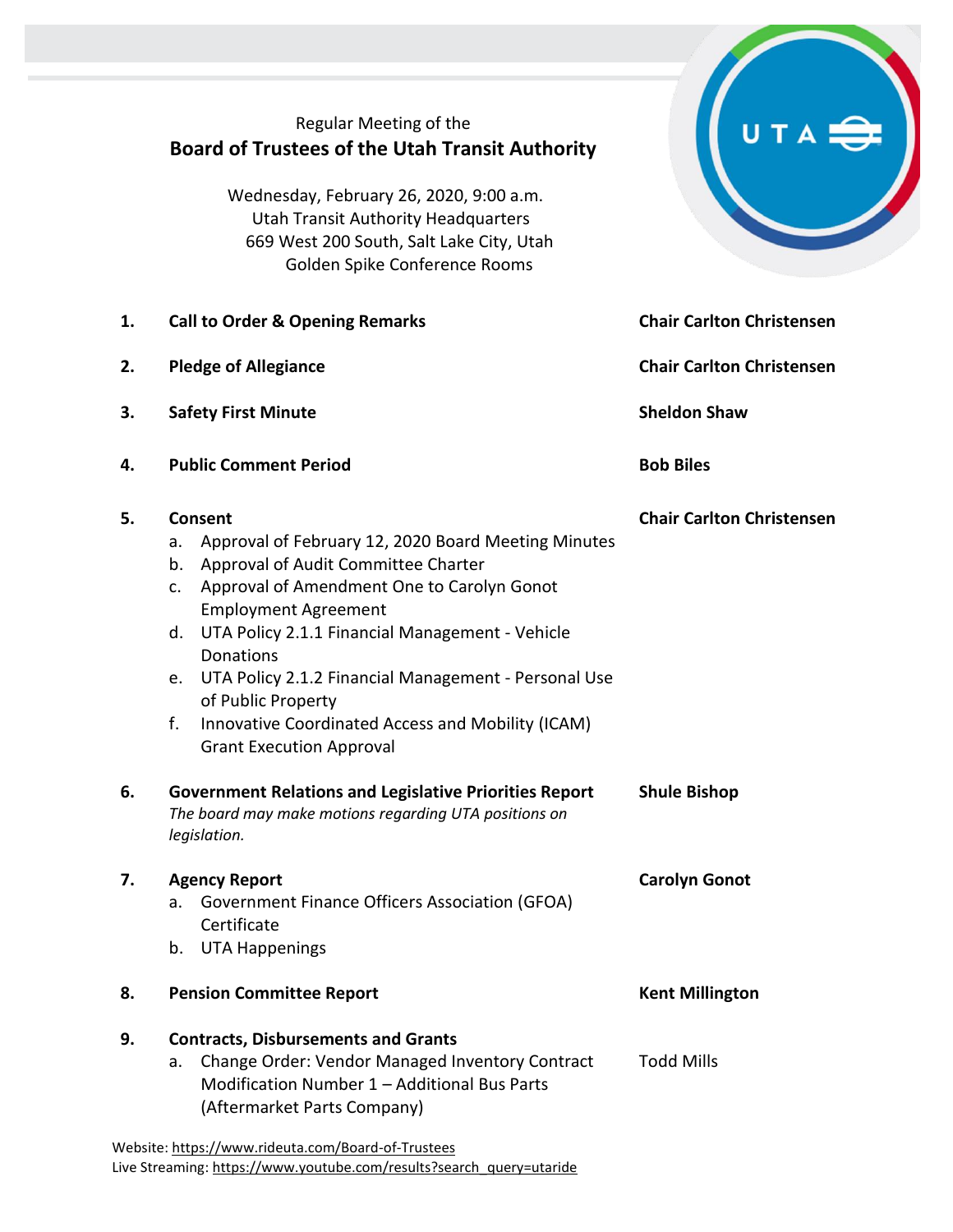|    | Regular Meeting of the<br><b>Board of Trustees of the Utah Transit Authority</b><br>Wednesday, February 26, 2020, 9:00 a.m.<br><b>Utah Transit Authority Headquarters</b><br>669 West 200 South, Salt Lake City, Utah<br>Golden Spike Conference Rooms                                                                                                                                                                                                       |                                  |  |
|----|--------------------------------------------------------------------------------------------------------------------------------------------------------------------------------------------------------------------------------------------------------------------------------------------------------------------------------------------------------------------------------------------------------------------------------------------------------------|----------------------------------|--|
| 1. | <b>Call to Order &amp; Opening Remarks</b>                                                                                                                                                                                                                                                                                                                                                                                                                   | <b>Chair Carlton Christensen</b> |  |
| 2. | <b>Pledge of Allegiance</b>                                                                                                                                                                                                                                                                                                                                                                                                                                  | <b>Chair Carlton Christensen</b> |  |
| 3. | <b>Safety First Minute</b>                                                                                                                                                                                                                                                                                                                                                                                                                                   | <b>Sheldon Shaw</b>              |  |
| 4. | <b>Public Comment Period</b>                                                                                                                                                                                                                                                                                                                                                                                                                                 | <b>Bob Biles</b>                 |  |
| 5. | Consent<br>Approval of February 12, 2020 Board Meeting Minutes<br>a.<br>Approval of Audit Committee Charter<br>b.<br>Approval of Amendment One to Carolyn Gonot<br>c.<br><b>Employment Agreement</b><br>UTA Policy 2.1.1 Financial Management - Vehicle<br>d.<br>Donations<br>UTA Policy 2.1.2 Financial Management - Personal Use<br>e.<br>of Public Property<br>f.<br>Innovative Coordinated Access and Mobility (ICAM)<br><b>Grant Execution Approval</b> | <b>Chair Carlton Christensen</b> |  |
| 6. | <b>Government Relations and Legislative Priorities Report</b><br>The board may make motions regarding UTA positions on<br>legislation.                                                                                                                                                                                                                                                                                                                       | <b>Shule Bishop</b>              |  |
| 7. | <b>Agency Report</b><br><b>Government Finance Officers Association (GFOA)</b><br>a.<br>Certificate<br><b>UTA Happenings</b><br>b.                                                                                                                                                                                                                                                                                                                            | <b>Carolyn Gonot</b>             |  |
| 8. | <b>Pension Committee Report</b>                                                                                                                                                                                                                                                                                                                                                                                                                              | <b>Kent Millington</b>           |  |
| 9. | <b>Contracts, Disbursements and Grants</b><br>Change Order: Vendor Managed Inventory Contract<br>a.<br>Modification Number 1 - Additional Bus Parts<br>(Aftermarket Parts Company)<br>Website: https://www.rideuta.com/Board-of-Trustees                                                                                                                                                                                                                     | <b>Todd Mills</b>                |  |

Live Streaming[: https://www.youtube.com/results?search\\_query=utaride](https://www.youtube.com/results?search_query=utaride)